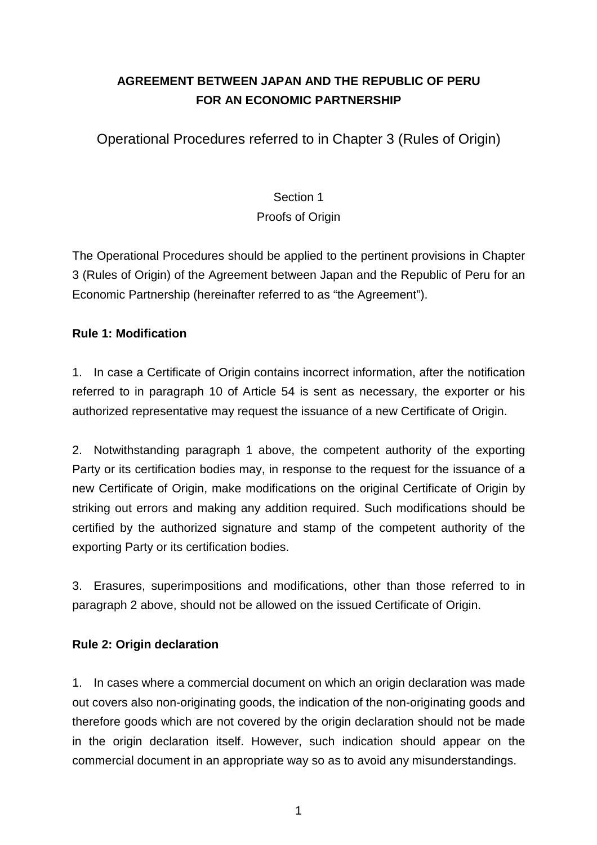# **AGREEMENT BETWEEN JAPAN AND THE REPUBLIC OF PERU FOR AN ECONOMIC PARTNERSHIP**

Operational Procedures referred to in Chapter 3 (Rules of Origin)

# Section 1 Proofs of Origin

The Operational Procedures should be applied to the pertinent provisions in Chapter 3 (Rules of Origin) of the Agreement between Japan and the Republic of Peru for an Economic Partnership (hereinafter referred to as "the Agreement").

## **Rule 1: Modification**

1. In case a Certificate of Origin contains incorrect information, after the notification referred to in paragraph 10 of Article 54 is sent as necessary, the exporter or his authorized representative may request the issuance of a new Certificate of Origin.

2. Notwithstanding paragraph 1 above, the competent authority of the exporting Party or its certification bodies may, in response to the request for the issuance of a new Certificate of Origin, make modifications on the original Certificate of Origin by striking out errors and making any addition required. Such modifications should be certified by the authorized signature and stamp of the competent authority of the exporting Party or its certification bodies.

3. Erasures, superimpositions and modifications, other than those referred to in paragraph 2 above, should not be allowed on the issued Certificate of Origin.

## **Rule 2: Origin declaration**

1. In cases where a commercial document on which an origin declaration was made out covers also non-originating goods, the indication of the non-originating goods and therefore goods which are not covered by the origin declaration should not be made in the origin declaration itself. However, such indication should appear on the commercial document in an appropriate way so as to avoid any misunderstandings.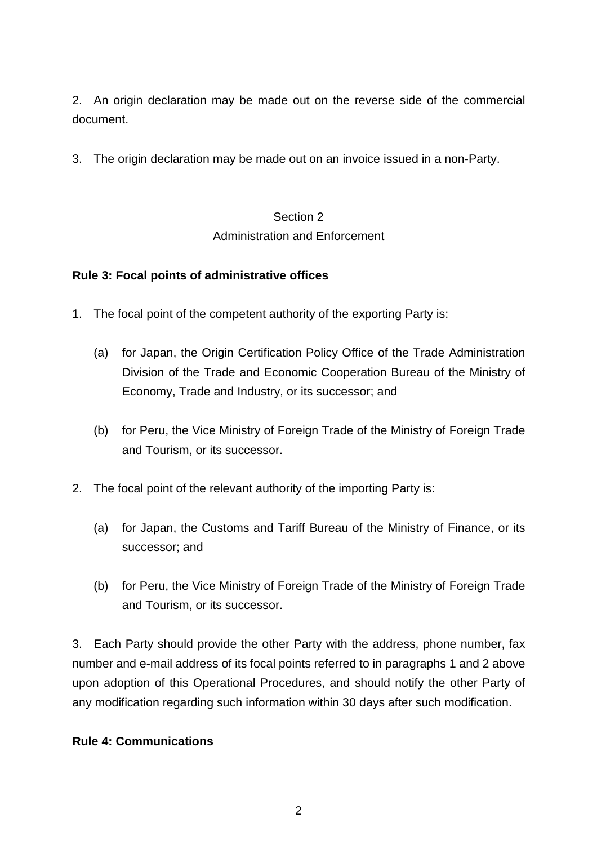2. An origin declaration may be made out on the reverse side of the commercial document.

3. The origin declaration may be made out on an invoice issued in a non-Party.

# Section 2 Administration and Enforcement

## **Rule 3: Focal points of administrative offices**

- 1. The focal point of the competent authority of the exporting Party is:
	- (a) for Japan, the Origin Certification Policy Office of the Trade Administration Division of the Trade and Economic Cooperation Bureau of the Ministry of Economy, Trade and Industry, or its successor; and
	- (b) for Peru, the Vice Ministry of Foreign Trade of the Ministry of Foreign Trade and Tourism, or its successor.
- 2. The focal point of the relevant authority of the importing Party is:
	- (a) for Japan, the Customs and Tariff Bureau of the Ministry of Finance, or its successor; and
	- (b) for Peru, the Vice Ministry of Foreign Trade of the Ministry of Foreign Trade and Tourism, or its successor.

3. Each Party should provide the other Party with the address, phone number, fax number and e-mail address of its focal points referred to in paragraphs 1 and 2 above upon adoption of this Operational Procedures, and should notify the other Party of any modification regarding such information within 30 days after such modification.

#### **Rule 4: Communications**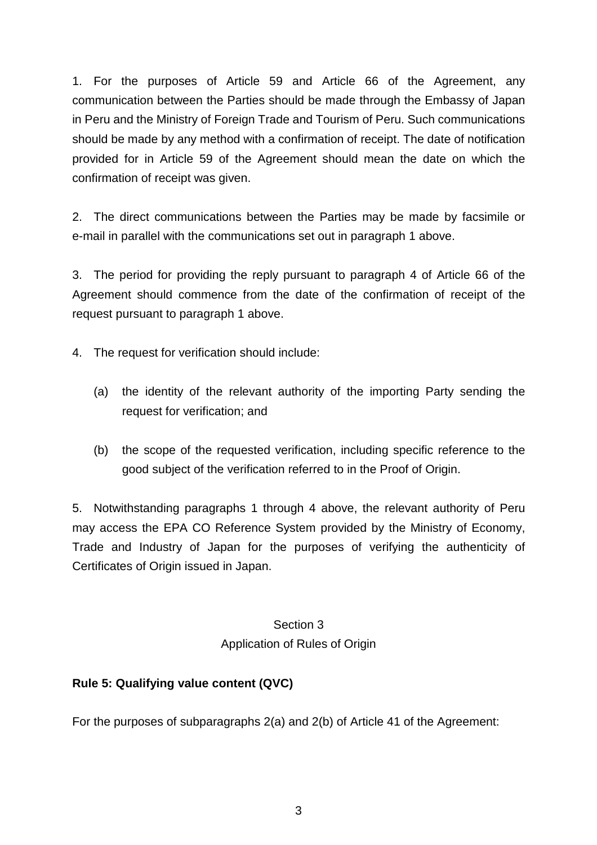1. For the purposes of Article 59 and Article 66 of the Agreement, any communication between the Parties should be made through the Embassy of Japan in Peru and the Ministry of Foreign Trade and Tourism of Peru. Such communications should be made by any method with a confirmation of receipt. The date of notification provided for in Article 59 of the Agreement should mean the date on which the confirmation of receipt was given.

2. The direct communications between the Parties may be made by facsimile or e-mail in parallel with the communications set out in paragraph 1 above.

3. The period for providing the reply pursuant to paragraph 4 of Article 66 of the Agreement should commence from the date of the confirmation of receipt of the request pursuant to paragraph 1 above.

- 4. The request for verification should include:
	- (a) the identity of the relevant authority of the importing Party sending the request for verification; and
	- (b) the scope of the requested verification, including specific reference to the good subject of the verification referred to in the Proof of Origin.

5. Notwithstanding paragraphs 1 through 4 above, the relevant authority of Peru may access the EPA CO Reference System provided by the Ministry of Economy, Trade and Industry of Japan for the purposes of verifying the authenticity of Certificates of Origin issued in Japan.

> Section 3 Application of Rules of Origin

## **Rule 5: Qualifying value content (QVC)**

For the purposes of subparagraphs 2(a) and 2(b) of Article 41 of the Agreement: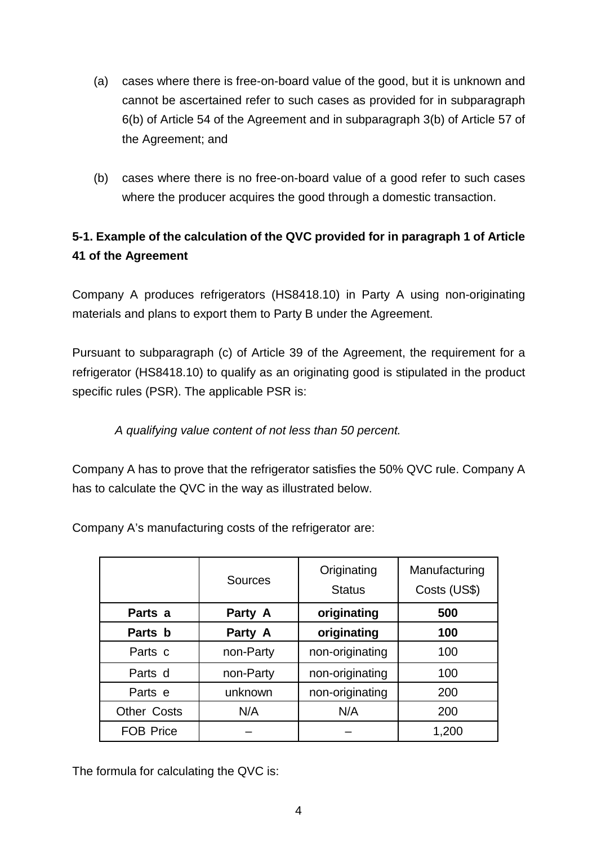- (a) cases where there is free-on-board value of the good, but it is unknown and cannot be ascertained refer to such cases as provided for in subparagraph 6(b) of Article 54 of the Agreement and in subparagraph 3(b) of Article 57 of the Agreement; and
- (b) cases where there is no free-on-board value of a good refer to such cases where the producer acquires the good through a domestic transaction.

# **5-1. Example of the calculation of the QVC provided for in paragraph 1 of Article 41 of the Agreement**

Company A produces refrigerators (HS8418.10) in Party A using non-originating materials and plans to export them to Party B under the Agreement.

Pursuant to subparagraph (c) of Article 39 of the Agreement, the requirement for a refrigerator (HS8418.10) to qualify as an originating good is stipulated in the product specific rules (PSR). The applicable PSR is:

## A qualifying value content of not less than 50 percent.

Company A has to prove that the refrigerator satisfies the 50% QVC rule. Company A has to calculate the QVC in the way as illustrated below.

Company A's manufacturing costs of the refrigerator are:

|                    | <b>Sources</b> | Originating<br><b>Status</b> | Manufacturing<br>Costs (US\$) |
|--------------------|----------------|------------------------------|-------------------------------|
| Parts a            | Party A        | originating                  | 500                           |
| Parts b            | Party A        | originating                  | 100                           |
| Parts c            | non-Party      | non-originating              | 100                           |
| Parts d            | non-Party      | non-originating              | 100                           |
| Parts e            | unknown        | non-originating              | 200                           |
| <b>Other Costs</b> | N/A            | N/A                          | 200                           |
| <b>FOB Price</b>   |                |                              | 1,200                         |

The formula for calculating the QVC is: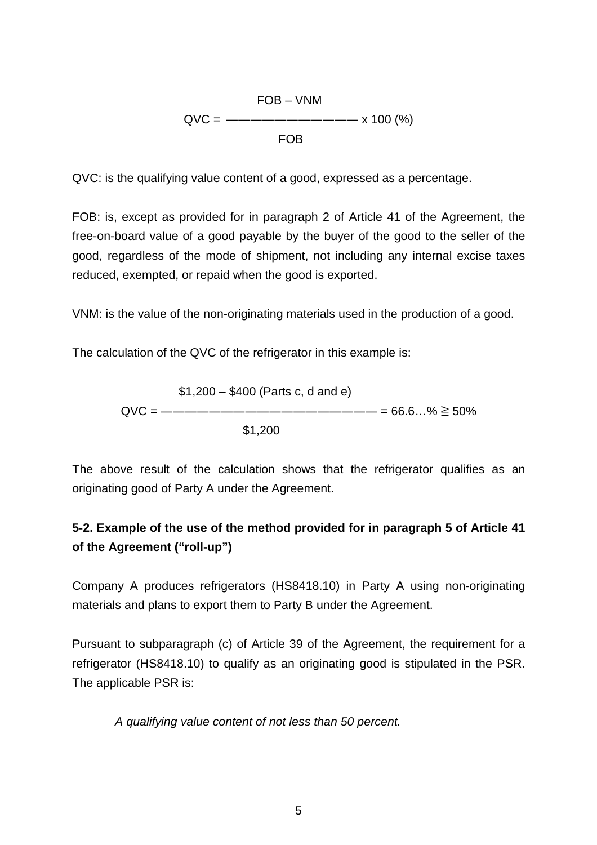\n
$$
\text{FOB} - \text{VNM}
$$
\n

\n\n $\text{QVC} = \text{---} \text{---} \text{---} \text{---} \text{---} \times 100 \, (\%)$ \n

\n\n $\text{FOB}$ \n

QVC: is the qualifying value content of a good, expressed as a percentage.

FOB: is, except as provided for in paragraph 2 of Article 41 of the Agreement, the free-on-board value of a good payable by the buyer of the good to the seller of the good, regardless of the mode of shipment, not including any internal excise taxes reduced, exempted, or repaid when the good is exported.

VNM: is the value of the non-originating materials used in the production of a good.

The calculation of the QVC of the refrigerator in this example is:

\$1,200 – \$400 (Parts c, d and e) QVC = ―――――――――――――――――― = 66.6…% ≧ 50% \$1,200

The above result of the calculation shows that the refrigerator qualifies as an originating good of Party A under the Agreement.

## **5-2. Example of the use of the method provided for in paragraph 5 of Article 41 of the Agreement ("roll-up")**

Company A produces refrigerators (HS8418.10) in Party A using non-originating materials and plans to export them to Party B under the Agreement.

Pursuant to subparagraph (c) of Article 39 of the Agreement, the requirement for a refrigerator (HS8418.10) to qualify as an originating good is stipulated in the PSR. The applicable PSR is:

A qualifying value content of not less than 50 percent.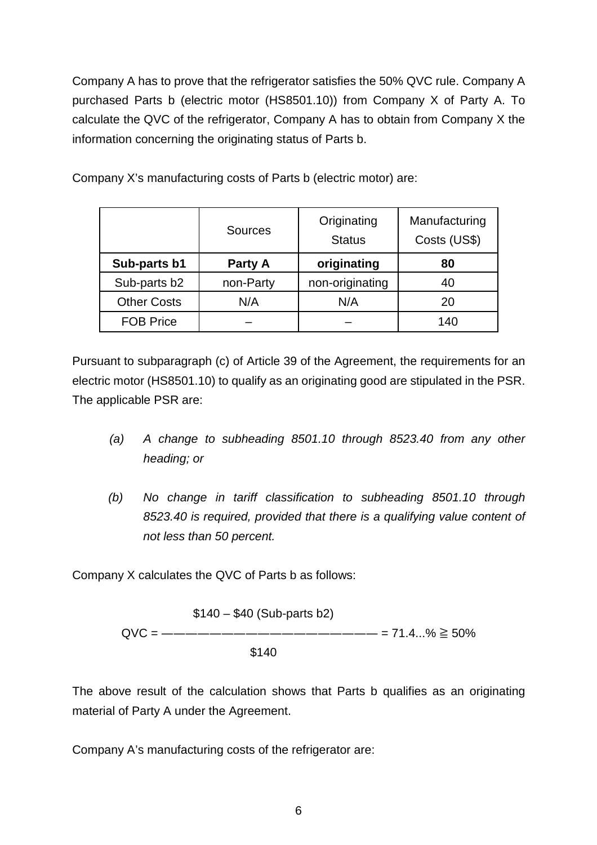Company A has to prove that the refrigerator satisfies the 50% QVC rule. Company A purchased Parts b (electric motor (HS8501.10)) from Company X of Party A. To calculate the QVC of the refrigerator, Company A has to obtain from Company X the information concerning the originating status of Parts b.

| Company X's manufacturing costs of Parts b (electric motor) are: |  |
|------------------------------------------------------------------|--|
|------------------------------------------------------------------|--|

|                    | <b>Sources</b> | Originating<br><b>Status</b> | Manufacturing<br>Costs (US\$) |
|--------------------|----------------|------------------------------|-------------------------------|
| Sub-parts b1       | Party A        | originating                  | 80                            |
| Sub-parts b2       | non-Party      | non-originating              | 40                            |
| <b>Other Costs</b> | N/A            | N/A                          | 20                            |
| <b>FOB Price</b>   |                |                              | 140                           |

Pursuant to subparagraph (c) of Article 39 of the Agreement, the requirements for an electric motor (HS8501.10) to qualify as an originating good are stipulated in the PSR. The applicable PSR are:

- (a) A change to subheading 8501.10 through 8523.40 from any other heading; or
- (b) No change in tariff classification to subheading 8501.10 through 8523.40 is required, provided that there is a qualifying value content of not less than 50 percent.

Company X calculates the QVC of Parts b as follows:

$$
$140 - $40 (Sub-parts b2)
$$
  
QVC = ————————————————= 71.4...% ≥ 50%  
\$140

The above result of the calculation shows that Parts b qualifies as an originating material of Party A under the Agreement.

Company A's manufacturing costs of the refrigerator are: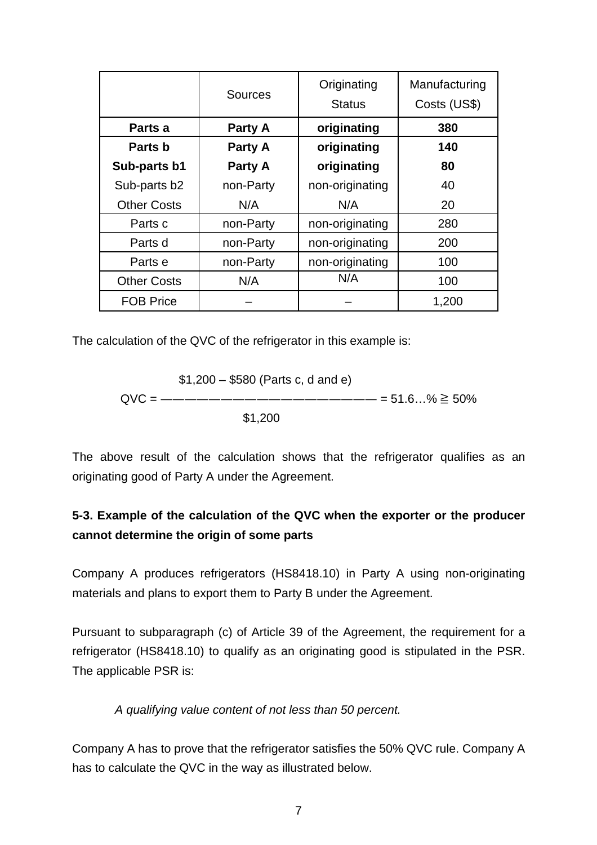|                    | <b>Sources</b> | Originating<br><b>Status</b> | Manufacturing<br>Costs (US\$) |
|--------------------|----------------|------------------------------|-------------------------------|
| Parts a            | Party A        | originating                  | 380                           |
| Parts b            | Party A        | originating                  | 140                           |
| Sub-parts b1       | Party A        | originating                  | 80                            |
| Sub-parts b2       | non-Party      | non-originating              | 40                            |
| <b>Other Costs</b> | N/A            | N/A                          | 20                            |
| Parts c            | non-Party      | non-originating              | 280                           |
| Parts d            | non-Party      | non-originating              | 200                           |
| Parts e            | non-Party      | non-originating              | 100                           |
| <b>Other Costs</b> | N/A            | N/A                          | 100                           |
| <b>FOB Price</b>   |                |                              | 1,200                         |

The calculation of the QVC of the refrigerator in this example is:

$$
$1,200 - $580
$$
 (Parts c, d and e)  
QVC = ——————————————= 51.6...% ≥ 50%  
 $$1,200$ 

The above result of the calculation shows that the refrigerator qualifies as an originating good of Party A under the Agreement.

## **5-3. Example of the calculation of the QVC when the exporter or the producer cannot determine the origin of some parts**

Company A produces refrigerators (HS8418.10) in Party A using non-originating materials and plans to export them to Party B under the Agreement.

Pursuant to subparagraph (c) of Article 39 of the Agreement, the requirement for a refrigerator (HS8418.10) to qualify as an originating good is stipulated in the PSR. The applicable PSR is:

#### A qualifying value content of not less than 50 percent.

Company A has to prove that the refrigerator satisfies the 50% QVC rule. Company A has to calculate the QVC in the way as illustrated below.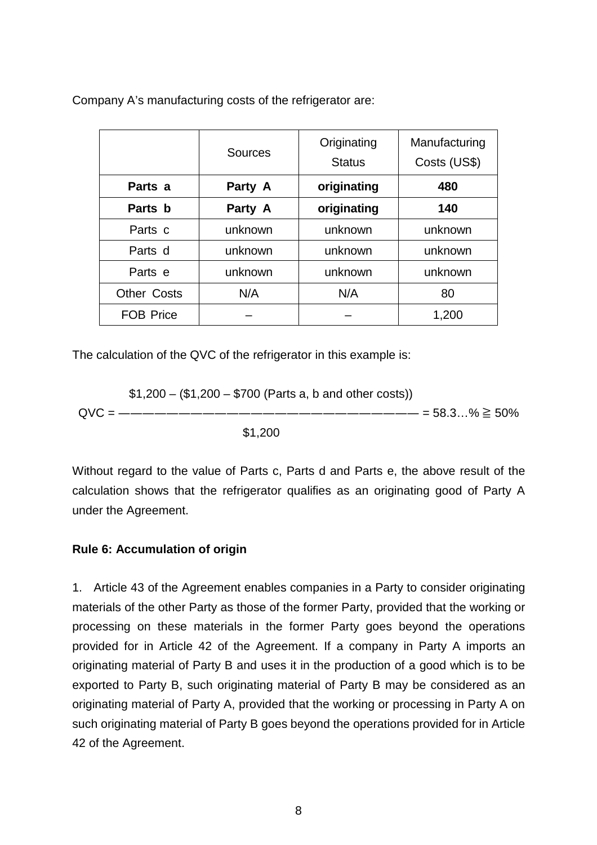Company A's manufacturing costs of the refrigerator are:

|                    | Sources | Originating<br><b>Status</b> | Manufacturing<br>Costs (US\$) |
|--------------------|---------|------------------------------|-------------------------------|
| Parts a            | Party A | originating                  | 480                           |
| Parts b            | Party A | originating                  | 140                           |
| Parts c            | unknown | unknown                      | unknown                       |
| Parts d            | unknown | unknown                      | unknown                       |
| Parts e            | unknown | unknown                      | unknown                       |
| <b>Other Costs</b> | N/A     | N/A                          | 80                            |
| <b>FOB Price</b>   |         |                              | 1,200                         |

The calculation of the QVC of the refrigerator in this example is:

$$
$1,200 - ($1,200 - $700 (Parts a, b and other costs))
$$
  
QVC = —————————————————————= 58.3…% ≥ 50%  
\$1,200

Without regard to the value of Parts c, Parts d and Parts e, the above result of the calculation shows that the refrigerator qualifies as an originating good of Party A under the Agreement.

#### **Rule 6: Accumulation of origin**

1. Article 43 of the Agreement enables companies in a Party to consider originating materials of the other Party as those of the former Party, provided that the working or processing on these materials in the former Party goes beyond the operations provided for in Article 42 of the Agreement. If a company in Party A imports an originating material of Party B and uses it in the production of a good which is to be exported to Party B, such originating material of Party B may be considered as an originating material of Party A, provided that the working or processing in Party A on such originating material of Party B goes beyond the operations provided for in Article 42 of the Agreement.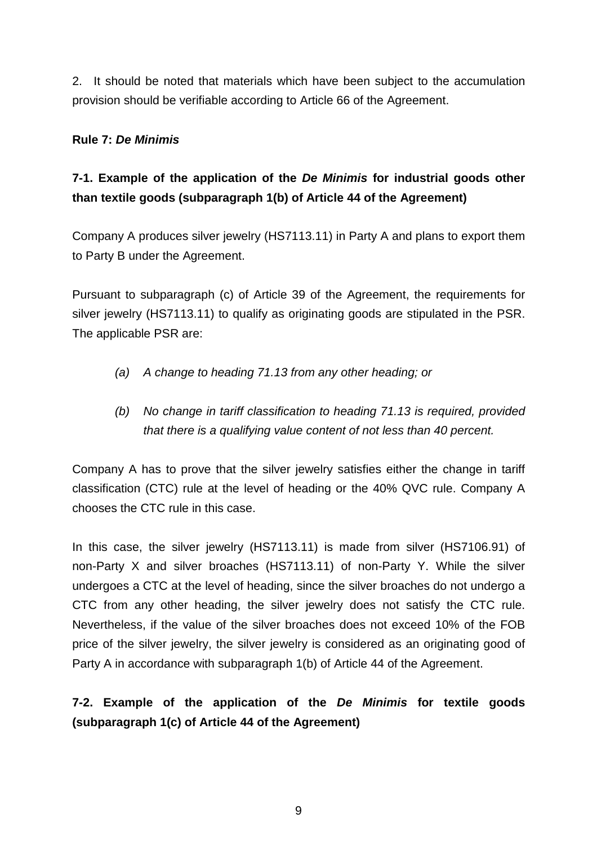2. It should be noted that materials which have been subject to the accumulation provision should be verifiable according to Article 66 of the Agreement.

#### **Rule 7: De Minimis**

# **7-1. Example of the application of the De Minimis for industrial goods other than textile goods (subparagraph 1(b) of Article 44 of the Agreement)**

Company A produces silver jewelry (HS7113.11) in Party A and plans to export them to Party B under the Agreement.

Pursuant to subparagraph (c) of Article 39 of the Agreement, the requirements for silver jewelry (HS7113.11) to qualify as originating goods are stipulated in the PSR. The applicable PSR are:

- (a) A change to heading 71.13 from any other heading; or
- (b) No change in tariff classification to heading 71.13 is required, provided that there is a qualifying value content of not less than 40 percent.

Company A has to prove that the silver jewelry satisfies either the change in tariff classification (CTC) rule at the level of heading or the 40% QVC rule. Company A chooses the CTC rule in this case.

In this case, the silver jewelry (HS7113.11) is made from silver (HS7106.91) of non-Party X and silver broaches (HS7113.11) of non-Party Y. While the silver undergoes a CTC at the level of heading, since the silver broaches do not undergo a CTC from any other heading, the silver jewelry does not satisfy the CTC rule. Nevertheless, if the value of the silver broaches does not exceed 10% of the FOB price of the silver jewelry, the silver jewelry is considered as an originating good of Party A in accordance with subparagraph 1(b) of Article 44 of the Agreement.

## **7-2. Example of the application of the De Minimis for textile goods (subparagraph 1(c) of Article 44 of the Agreement)**